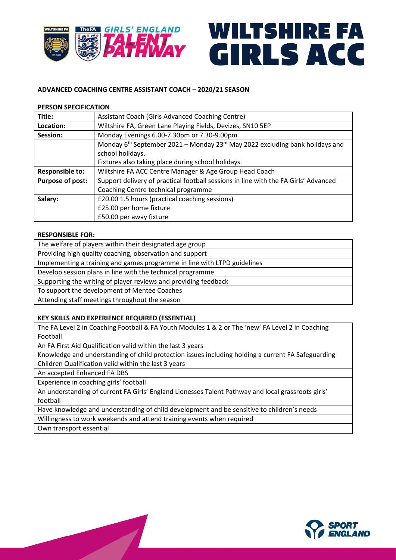

# WILTSHIRE FA GIRLS ACC

# **ADVANCED COACHING CENTRE ASSISTANT COACH – 2020/21 SEASON**

## **PERSON SPECIFICATION**

| Title:                 | Assistant Coach (Girls Advanced Coaching Centre)                                           |
|------------------------|--------------------------------------------------------------------------------------------|
| Location:              | Wiltshire FA, Green Lane Playing Fields, Devizes, SN10 5EP                                 |
| Session:               | Monday Evenings 6.00-7.30pm or 7.30-9.00pm                                                 |
|                        | Monday $6th$ September 2021 – Monday 23 <sup>rd</sup> May 2022 excluding bank holidays and |
|                        | school holidays.                                                                           |
|                        | Fixtures also taking place during school holidays.                                         |
| <b>Responsible to:</b> | Wiltshire FA ACC Centre Manager & Age Group Head Coach                                     |
| Purpose of post:       | Support delivery of practical football sessions in line with the FA Girls' Advanced        |
|                        | Coaching Centre technical programme                                                        |
| Salary:                | £20.00 1.5 hours (practical coaching sessions)                                             |
|                        | £25.00 per home fixture                                                                    |
|                        | £50.00 per away fixture                                                                    |

## **RESPONSIBLE FOR:**

The welfare of players within their designated age group Providing high quality coaching, observation and support Implementing a training and games programme in line with LTPD guidelines Develop session plans in line with the technical programme Supporting the writing of player reviews and providing feedback To support the development of Mentee Coaches Attending staff meetings throughout the season

## **KEY SKILLS AND EXPERIENCE REQUIRED (ESSENTIAL)**

The FA Level 2 in Coaching Football & FA Youth Modules 1 & 2 or The 'new' FA Level 2 in Coaching Football

An FA First Aid Qualification valid within the last 3 years

**Single Street** 

Knowledge and understanding of child protection issues including holding a current FA Safeguarding Children Qualification valid within the last 3 years

An accepted Enhanced FA DBS

Experience in coaching girls' football

An understanding of current FA Girls' England Lionesses Talent Pathway and local grassroots girls' football

Have knowledge and understanding of child development and be sensitive to children's needs

Willingness to work weekends and attend training events when required

Own transport essential